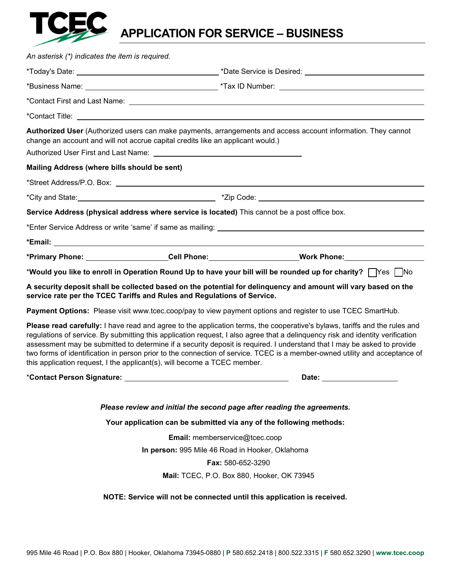

## **APPLICATION FOR SERVICE – BUSINESS**

| An asterisk (*) indicates the item is required. |                                                                                                                                                                                                                                |                                                                                                                                                                                                                                                                                                                                                                                                                                                                                                                       |
|-------------------------------------------------|--------------------------------------------------------------------------------------------------------------------------------------------------------------------------------------------------------------------------------|-----------------------------------------------------------------------------------------------------------------------------------------------------------------------------------------------------------------------------------------------------------------------------------------------------------------------------------------------------------------------------------------------------------------------------------------------------------------------------------------------------------------------|
|                                                 |                                                                                                                                                                                                                                |                                                                                                                                                                                                                                                                                                                                                                                                                                                                                                                       |
|                                                 |                                                                                                                                                                                                                                |                                                                                                                                                                                                                                                                                                                                                                                                                                                                                                                       |
|                                                 |                                                                                                                                                                                                                                |                                                                                                                                                                                                                                                                                                                                                                                                                                                                                                                       |
|                                                 |                                                                                                                                                                                                                                |                                                                                                                                                                                                                                                                                                                                                                                                                                                                                                                       |
|                                                 | change an account and will not accrue capital credits like an applicant would.)                                                                                                                                                | Authorized User (Authorized users can make payments, arrangements and access account information. They cannot                                                                                                                                                                                                                                                                                                                                                                                                         |
|                                                 |                                                                                                                                                                                                                                |                                                                                                                                                                                                                                                                                                                                                                                                                                                                                                                       |
| Mailing Address (where bills should be sent)    |                                                                                                                                                                                                                                |                                                                                                                                                                                                                                                                                                                                                                                                                                                                                                                       |
|                                                 | *Street Address/P.O. Box: \\contact \\contact \\contact \\contact \\contact \\contact \\contact \\contact \\contact \\contact \\contact \\contact \\contact \\contact \\contact \\contact \\contact \\contact \\contact \\cont |                                                                                                                                                                                                                                                                                                                                                                                                                                                                                                                       |
|                                                 |                                                                                                                                                                                                                                |                                                                                                                                                                                                                                                                                                                                                                                                                                                                                                                       |
|                                                 | Service Address (physical address where service is located) This cannot be a post office box.                                                                                                                                  |                                                                                                                                                                                                                                                                                                                                                                                                                                                                                                                       |
|                                                 |                                                                                                                                                                                                                                |                                                                                                                                                                                                                                                                                                                                                                                                                                                                                                                       |
|                                                 |                                                                                                                                                                                                                                |                                                                                                                                                                                                                                                                                                                                                                                                                                                                                                                       |
|                                                 |                                                                                                                                                                                                                                | *Primary Phone: Cell Phone: Call Phone: Work Phone: More Phone:                                                                                                                                                                                                                                                                                                                                                                                                                                                       |
|                                                 |                                                                                                                                                                                                                                | *Would you like to enroll in Operation Round Up to have your bill will be rounded up for charity? TYes TNo                                                                                                                                                                                                                                                                                                                                                                                                            |
|                                                 | service rate per the TCEC Tariffs and Rules and Regulations of Service.                                                                                                                                                        | A security deposit shall be collected based on the potential for delinquency and amount will vary based on the                                                                                                                                                                                                                                                                                                                                                                                                        |
|                                                 |                                                                                                                                                                                                                                | Payment Options: Please visit www.tcec.coop/pay to view payment options and register to use TCEC SmartHub.                                                                                                                                                                                                                                                                                                                                                                                                            |
|                                                 | this application request, I the applicant(s), will become a TCEC member.                                                                                                                                                       | Please read carefully: I have read and agree to the application terms, the cooperative's bylaws, tariffs and the rules and<br>regulations of service. By submitting this application request, I also agree that a delinquency risk and identity verification<br>assessment may be submitted to determine if a security deposit is required. I understand that I may be asked to provide<br>two forms of identification in person prior to the connection of service. TCEC is a member-owned utility and acceptance of |
|                                                 |                                                                                                                                                                                                                                | Date: __________________                                                                                                                                                                                                                                                                                                                                                                                                                                                                                              |
|                                                 | Please review and initial the second page after reading the agreements.                                                                                                                                                        |                                                                                                                                                                                                                                                                                                                                                                                                                                                                                                                       |
|                                                 | Your application can be submitted via any of the following methods:                                                                                                                                                            |                                                                                                                                                                                                                                                                                                                                                                                                                                                                                                                       |
| Email: memberservice@tcec.coop                  |                                                                                                                                                                                                                                |                                                                                                                                                                                                                                                                                                                                                                                                                                                                                                                       |
| In person: 995 Mile 46 Road in Hooker, Oklahoma |                                                                                                                                                                                                                                |                                                                                                                                                                                                                                                                                                                                                                                                                                                                                                                       |
|                                                 | Fax: 580-652-3290                                                                                                                                                                                                              |                                                                                                                                                                                                                                                                                                                                                                                                                                                                                                                       |
| Mail: TCEC, P.O. Box 880, Hooker, OK 73945      |                                                                                                                                                                                                                                |                                                                                                                                                                                                                                                                                                                                                                                                                                                                                                                       |
|                                                 | NOTE: Service will not be connected until this application is received.                                                                                                                                                        |                                                                                                                                                                                                                                                                                                                                                                                                                                                                                                                       |